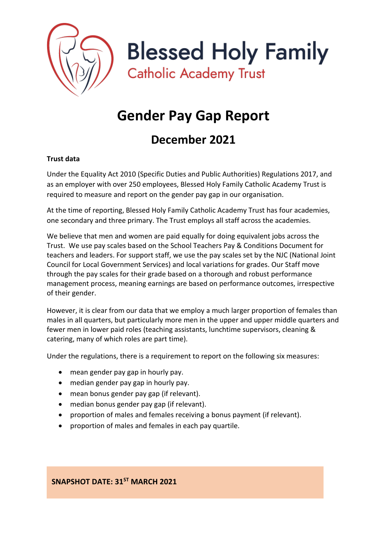

**Blessed Holy Family** 

**Catholic Academy Trust** 

# **Gender Pay Gap Report**

# **December 2021**

# **Trust data**

Under the Equality Act 2010 (Specific Duties and Public Authorities) Regulations 2017, and as an employer with over 250 employees, Blessed Holy Family Catholic Academy Trust is required to measure and report on the gender pay gap in our organisation.

At the time of reporting, Blessed Holy Family Catholic Academy Trust has four academies, one secondary and three primary. The Trust employs all staff across the academies.

We believe that men and women are paid equally for doing equivalent jobs across the Trust. We use pay scales based on the School Teachers Pay & Conditions Document for teachers and leaders. For support staff, we use the pay scales set by the NJC (National Joint Council for Local Government Services) and local variations for grades. Our Staff move through the pay scales for their grade based on a thorough and robust performance management process, meaning earnings are based on performance outcomes, irrespective of their gender.

However, it is clear from our data that we employ a much larger proportion of females than males in all quarters, but particularly more men in the upper and upper middle quarters and fewer men in lower paid roles (teaching assistants, lunchtime supervisors, cleaning & catering, many of which roles are part time).

Under the regulations, there is a requirement to report on the following six measures:

- mean gender pay gap in hourly pay.
- median gender pay gap in hourly pay.
- mean bonus gender pay gap (if relevant).
- median bonus gender pay gap (if relevant).
- proportion of males and females receiving a bonus payment (if relevant).
- proportion of males and females in each pay quartile.

**SNAPSHOT DATE: 31ST MARCH 2021**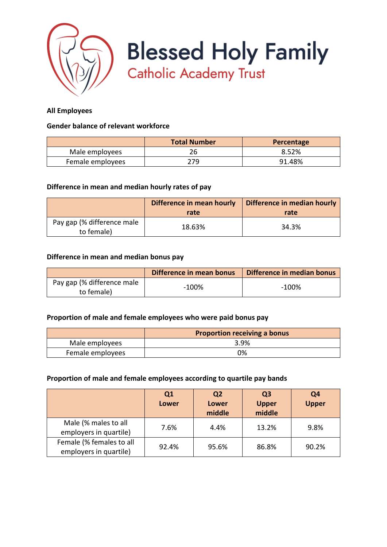

**Blessed Holy Family**<br>Catholic Academy Trust

## **All Employees**

#### **Gender balance of relevant workforce**

|                  | <b>Total Number</b> | Percentage |
|------------------|---------------------|------------|
| Male employees   |                     | 8.52%      |
| Female employees | 279                 | 91.48%     |

#### **Difference in mean and median hourly rates of pay**

|                                          | Difference in mean hourly<br>rate | Difference in median hourly<br>rate |
|------------------------------------------|-----------------------------------|-------------------------------------|
| Pay gap (% difference male<br>to female) | 18.63%                            | 34.3%                               |

#### **Difference in mean and median bonus pay**

|                                          | Difference in mean bonus | Difference in median bonus |
|------------------------------------------|--------------------------|----------------------------|
| Pay gap (% difference male<br>to female) | $-100%$                  | -100%                      |

#### **Proportion of male and female employees who were paid bonus pay**

|                  | <b>Proportion receiving a bonus</b> |
|------------------|-------------------------------------|
| Male employees   | 3.9%                                |
| Female employees | 0%                                  |

#### **Proportion of male and female employees according to quartile pay bands**

|                                                    | Q1<br><b>Lower</b> | Q <sub>2</sub><br><b>Lower</b><br>middle | Q <sub>3</sub><br><b>Upper</b><br>middle | Q <sub>4</sub><br><b>Upper</b> |
|----------------------------------------------------|--------------------|------------------------------------------|------------------------------------------|--------------------------------|
| Male (% males to all<br>employers in quartile)     | 7.6%               | 4.4%                                     | 13.2%                                    | 9.8%                           |
| Female (% females to all<br>employers in quartile) | 92.4%              | 95.6%                                    | 86.8%                                    | 90.2%                          |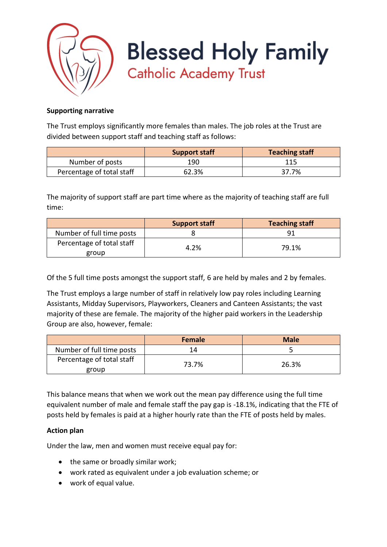

**Blessed Holy Family Catholic Academy Trust** 

## **Supporting narrative**

The Trust employs significantly more females than males. The job roles at the Trust are divided between support staff and teaching staff as follows:

|                           | <b>Support staff</b> | <b>Teaching staff</b> |
|---------------------------|----------------------|-----------------------|
| Number of posts           | 190                  | 115                   |
| Percentage of total staff | 62.3%                | 37.7%                 |

The majority of support staff are part time where as the majority of teaching staff are full time:

|                                    | <b>Support staff</b> | <b>Teaching staff</b> |
|------------------------------------|----------------------|-----------------------|
| Number of full time posts          |                      | ٩î                    |
| Percentage of total staff<br>group | 4.2%                 | 79.1%                 |

Of the 5 full time posts amongst the support staff, 6 are held by males and 2 by females.

The Trust employs a large number of staff in relatively low pay roles including Learning Assistants, Midday Supervisors, Playworkers, Cleaners and Canteen Assistants; the vast majority of these are female. The majority of the higher paid workers in the Leadership Group are also, however, female:

|                                    | Female | <b>Male</b> |
|------------------------------------|--------|-------------|
| Number of full time posts          | 14     |             |
| Percentage of total staff<br>group | 73.7%  | 26.3%       |

This balance means that when we work out the mean pay difference using the full time equivalent number of male and female staff the pay gap is -18.1%, indicating that the FTE of posts held by females is paid at a higher hourly rate than the FTE of posts held by males.

# **Action plan**

Under the law, men and women must receive equal pay for:

- the same or broadly similar work;
- work rated as equivalent under a job evaluation scheme; or
- work of equal value.